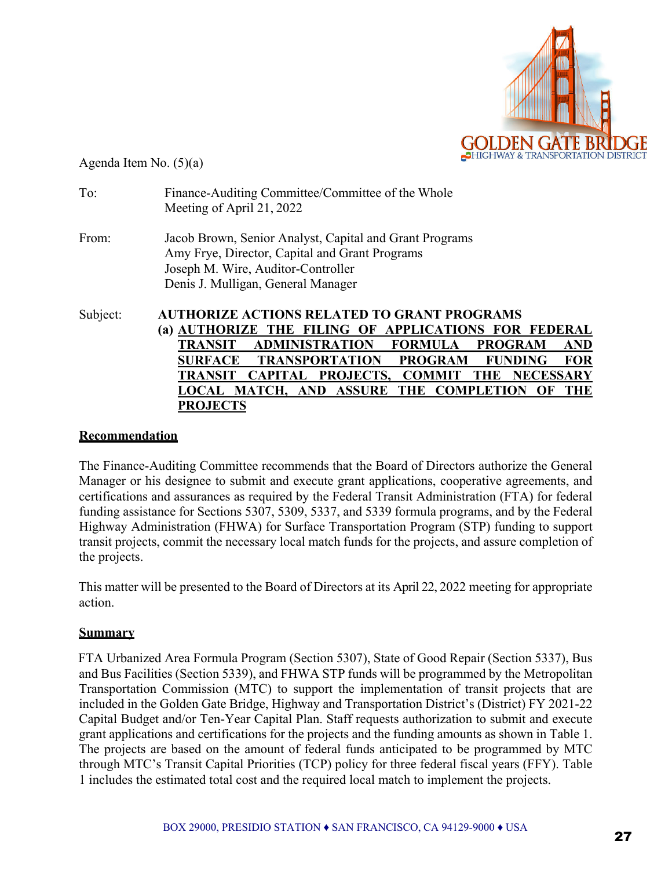

Agenda Item No. (5)(a)

| To:      | Finance-Auditing Committee/Committee of the Whole<br>Meeting of April 21, 2022                                                                                                        |  |  |  |  |
|----------|---------------------------------------------------------------------------------------------------------------------------------------------------------------------------------------|--|--|--|--|
| From:    | Jacob Brown, Senior Analyst, Capital and Grant Programs<br>Amy Frye, Director, Capital and Grant Programs<br>Joseph M. Wire, Auditor-Controller<br>Denis J. Mulligan, General Manager |  |  |  |  |
| Subject: | <b>AUTHORIZE ACTIONS RELATED TO GRANT PROGRAMS</b><br>(a) AUTHORIZE THE FILING OF APPLICATIONS FOR FEDERAL                                                                            |  |  |  |  |
|          | TRANSIT<br><b>ADMINISTRATION</b><br><b>FORMULA</b><br><b>PROGRAM</b><br><b>AND</b>                                                                                                    |  |  |  |  |
|          | <b>TRANSPORTATION</b><br><b>PROGRAM</b><br><b>SURFACE</b><br><b>FUNDING</b><br><b>FOR</b>                                                                                             |  |  |  |  |
|          | <b>NECESSARY</b><br>TRANSIT<br>PROJECTS.<br><b>CAPITAL</b><br><b>COMMIT</b><br>THE                                                                                                    |  |  |  |  |
|          | <b>MATCH, AND ASSURE</b><br>THE COMPLETION<br><b>THE</b><br>OF                                                                                                                        |  |  |  |  |
|          | <b>PROJECTS</b>                                                                                                                                                                       |  |  |  |  |

## **Recommendation**

The Finance-Auditing Committee recommends that the Board of Directors authorize the General Manager or his designee to submit and execute grant applications, cooperative agreements, and certifications and assurances as required by the Federal Transit Administration (FTA) for federal funding assistance for Sections 5307, 5309, 5337, and 5339 formula programs, and by the Federal Highway Administration (FHWA) for Surface Transportation Program (STP) funding to support transit projects, commit the necessary local match funds for the projects, and assure completion of the projects.

This matter will be presented to the Board of Directors at its April 22, 2022 meeting for appropriate action.

## **Summary**

FTA Urbanized Area Formula Program (Section 5307), State of Good Repair (Section 5337), Bus and Bus Facilities (Section 5339), and FHWA STP funds will be programmed by the Metropolitan Transportation Commission (MTC) to support the implementation of transit projects that are included in the Golden Gate Bridge, Highway and Transportation District's (District) FY 2021-22 Capital Budget and/or Ten-Year Capital Plan. Staff requests authorization to submit and execute grant applications and certifications for the projects and the funding amounts as shown in Table 1. The projects are based on the amount of federal funds anticipated to be programmed by MTC through MTC's Transit Capital Priorities (TCP) policy for three federal fiscal years (FFY). Table 1 includes the estimated total cost and the required local match to implement the projects.